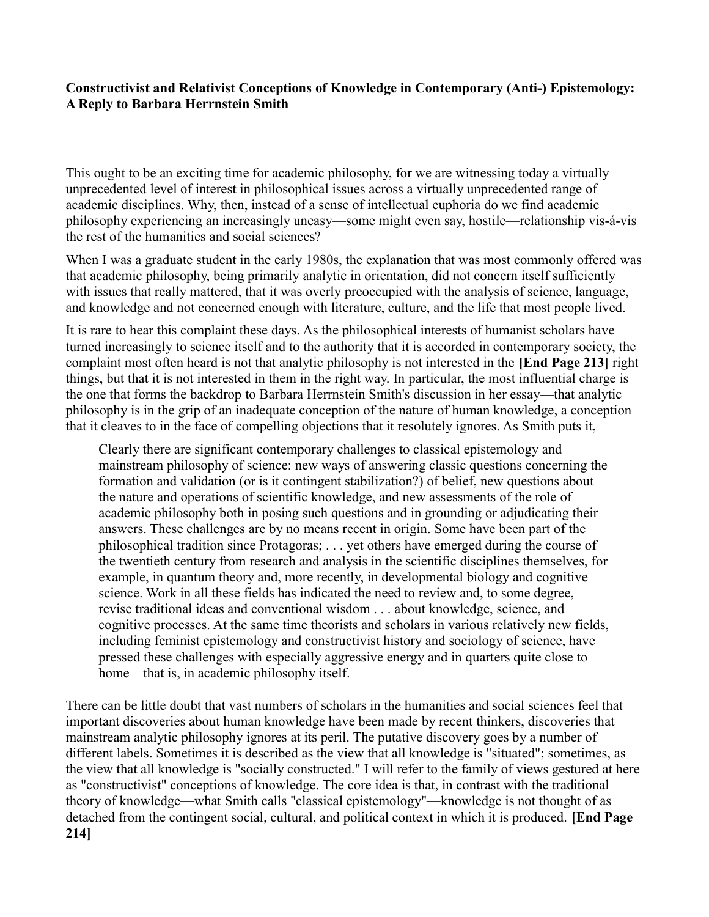## Constructivist and Relativist Conceptions of Knowledge in Contemporary (Anti-) Epistemology: A Reply to Barbara Herrnstein Smith

This ought to be an exciting time for academic philosophy, for we are witnessing today a virtually unprecedented level of interest in philosophical issues across a virtually unprecedented range of academic disciplines. Why, then, instead of a sense of intellectual euphoria do we find academic philosophy experiencing an increasingly uneasy—some might even say, hostile—relationship vis-á-vis the rest of the humanities and social sciences?

When I was a graduate student in the early 1980s, the explanation that was most commonly offered was that academic philosophy, being primarily analytic in orientation, did not concern itself sufficiently with issues that really mattered, that it was overly preoccupied with the analysis of science, language, and knowledge and not concerned enough with literature, culture, and the life that most people lived.

It is rare to hear this complaint these days. As the philosophical interests of humanist scholars have turned increasingly to science itself and to the authority that it is accorded in contemporary society, the complaint most often heard is not that analytic philosophy is not interested in the [End Page 213] right things, but that it is not interested in them in the right way. In particular, the most influential charge is the one that forms the backdrop to Barbara Herrnstein Smith's discussion in her essay—that analytic philosophy is in the grip of an inadequate conception of the nature of human knowledge, a conception that it cleaves to in the face of compelling objections that it resolutely ignores. As Smith puts it,

Clearly there are significant contemporary challenges to classical epistemology and mainstream philosophy of science: new ways of answering classic questions concerning the formation and validation (or is it contingent stabilization?) of belief, new questions about the nature and operations of scientific knowledge, and new assessments of the role of academic philosophy both in posing such questions and in grounding or adjudicating their answers. These challenges are by no means recent in origin. Some have been part of the philosophical tradition since Protagoras; . . . yet others have emerged during the course of the twentieth century from research and analysis in the scientific disciplines themselves, for example, in quantum theory and, more recently, in developmental biology and cognitive science. Work in all these fields has indicated the need to review and, to some degree, revise traditional ideas and conventional wisdom . . . about knowledge, science, and cognitive processes. At the same time theorists and scholars in various relatively new fields, including feminist epistemology and constructivist history and sociology of science, have pressed these challenges with especially aggressive energy and in quarters quite close to home—that is, in academic philosophy itself.

There can be little doubt that vast numbers of scholars in the humanities and social sciences feel that important discoveries about human knowledge have been made by recent thinkers, discoveries that mainstream analytic philosophy ignores at its peril. The putative discovery goes by a number of different labels. Sometimes it is described as the view that all knowledge is "situated"; sometimes, as the view that all knowledge is "socially constructed." I will refer to the family of views gestured at here as "constructivist" conceptions of knowledge. The core idea is that, in contrast with the traditional theory of knowledge—what Smith calls "classical epistemology"—knowledge is not thought of as detached from the contingent social, cultural, and political context in which it is produced. [End Page 214]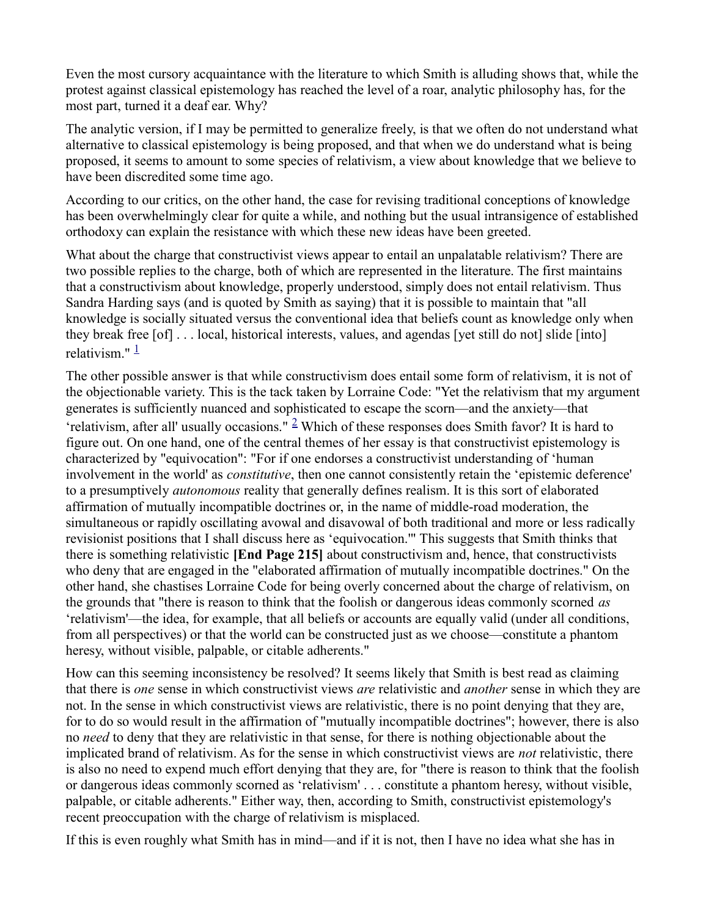Even the most cursory acquaintance with the literature to which Smith is alluding shows that, while the protest against classical epistemology has reached the level of a roar, analytic philosophy has, for the most part, turned it a deaf ear. Why?

The analytic version, if I may be permitted to generalize freely, is that we often do not understand what alternative to classical epistemology is being proposed, and that when we do understand what is being proposed, it seems to amount to some species of relativism, a view about knowledge that we believe to have been discredited some time ago.

According to our critics, on the other hand, the case for revising traditional conceptions of knowledge has been overwhelmingly clear for quite a while, and nothing but the usual intransigence of established orthodoxy can explain the resistance with which these new ideas have been greeted.

What about the charge that constructivist views appear to entail an unpalatable relativism? There are two possible replies to the charge, both of which are represented in the literature. The first maintains that a constructivism about knowledge, properly understood, simply does not entail relativism. Thus Sandra Harding says (and is quoted by Smith as saying) that it is possible to maintain that "all knowledge is socially situated versus the conventional idea that beliefs count as knowledge only when they break free [of] . . . local, historical interests, values, and agendas [yet still do not] slide [into] relativism." $\frac{1}{1}$ 

The other possible answer is that while constructivism does entail some form of relativism, it is not of the objectionable variety. This is the tack taken by Lorraine Code: "Yet the relativism that my argument generates is sufficiently nuanced and sophisticated to escape the scorn—and the anxiety—that 'relativism, after all' usually occasions."  $\frac{2}{3}$  Which of these responses does Smith favor? It is hard to figure out. On one hand, one of the central themes of her essay is that constructivist epistemology is characterized by "equivocation": "For if one endorses a constructivist understanding of 'human involvement in the world' as *constitutive*, then one cannot consistently retain the 'epistemic deference' to a presumptively *autonomous* reality that generally defines realism. It is this sort of elaborated affirmation of mutually incompatible doctrines or, in the name of middle-road moderation, the simultaneous or rapidly oscillating avowal and disavowal of both traditional and more or less radically revisionist positions that I shall discuss here as 'equivocation.'" This suggests that Smith thinks that there is something relativistic [End Page 215] about constructivism and, hence, that constructivists who deny that are engaged in the "elaborated affirmation of mutually incompatible doctrines." On the other hand, she chastises Lorraine Code for being overly concerned about the charge of relativism, on the grounds that "there is reason to think that the foolish or dangerous ideas commonly scorned as 'relativism'—the idea, for example, that all beliefs or accounts are equally valid (under all conditions, from all perspectives) or that the world can be constructed just as we choose—constitute a phantom heresy, without visible, palpable, or citable adherents."

How can this seeming inconsistency be resolved? It seems likely that Smith is best read as claiming that there is one sense in which constructivist views are relativistic and another sense in which they are not. In the sense in which constructivist views are relativistic, there is no point denying that they are, for to do so would result in the affirmation of "mutually incompatible doctrines"; however, there is also no need to deny that they are relativistic in that sense, for there is nothing objectionable about the implicated brand of relativism. As for the sense in which constructivist views are *not* relativistic, there is also no need to expend much effort denying that they are, for "there is reason to think that the foolish or dangerous ideas commonly scorned as 'relativism' . . . constitute a phantom heresy, without visible, palpable, or citable adherents." Either way, then, according to Smith, constructivist epistemology's recent preoccupation with the charge of relativism is misplaced.

If this is even roughly what Smith has in mind—and if it is not, then I have no idea what she has in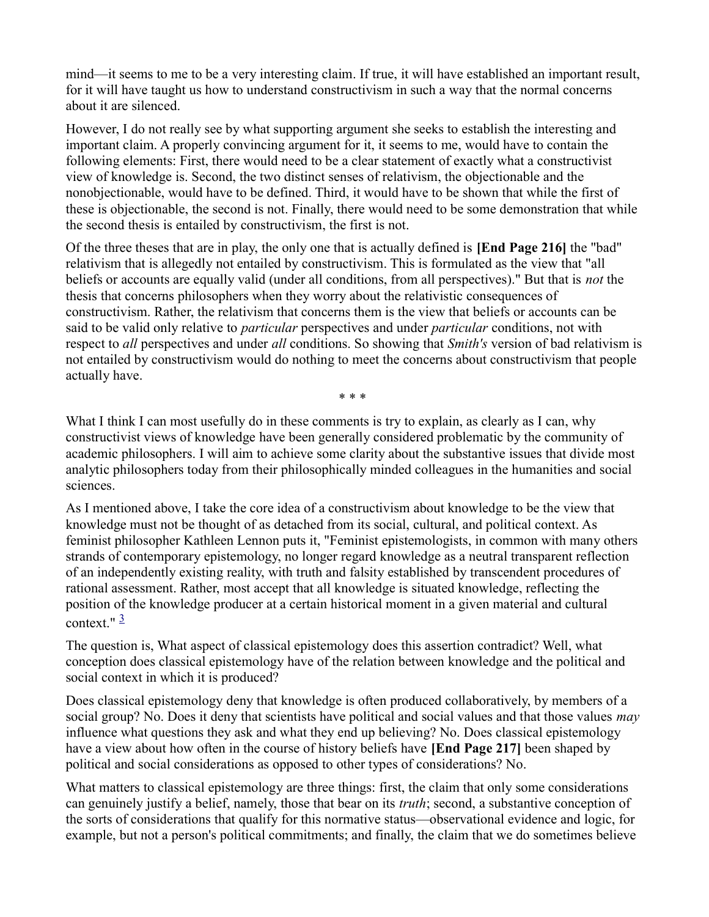mind—it seems to me to be a very interesting claim. If true, it will have established an important result, for it will have taught us how to understand constructivism in such a way that the normal concerns about it are silenced.

However, I do not really see by what supporting argument she seeks to establish the interesting and important claim. A properly convincing argument for it, it seems to me, would have to contain the following elements: First, there would need to be a clear statement of exactly what a constructivist view of knowledge is. Second, the two distinct senses of relativism, the objectionable and the nonobjectionable, would have to be defined. Third, it would have to be shown that while the first of these is objectionable, the second is not. Finally, there would need to be some demonstration that while the second thesis is entailed by constructivism, the first is not.

Of the three theses that are in play, the only one that is actually defined is [End Page 216] the "bad" relativism that is allegedly not entailed by constructivism. This is formulated as the view that "all beliefs or accounts are equally valid (under all conditions, from all perspectives)." But that is *not* the thesis that concerns philosophers when they worry about the relativistic consequences of constructivism. Rather, the relativism that concerns them is the view that beliefs or accounts can be said to be valid only relative to *particular* perspectives and under *particular* conditions, not with respect to all perspectives and under all conditions. So showing that Smith's version of bad relativism is not entailed by constructivism would do nothing to meet the concerns about constructivism that people actually have.

\* \* \*

What I think I can most usefully do in these comments is try to explain, as clearly as I can, why constructivist views of knowledge have been generally considered problematic by the community of academic philosophers. I will aim to achieve some clarity about the substantive issues that divide most analytic philosophers today from their philosophically minded colleagues in the humanities and social sciences.

As I mentioned above, I take the core idea of a constructivism about knowledge to be the view that knowledge must not be thought of as detached from its social, cultural, and political context. As feminist philosopher Kathleen Lennon puts it, "Feminist epistemologists, in common with many others strands of contemporary epistemology, no longer regard knowledge as a neutral transparent reflection of an independently existing reality, with truth and falsity established by transcendent procedures of rational assessment. Rather, most accept that all knowledge is situated knowledge, reflecting the position of the knowledge producer at a certain historical moment in a given material and cultural context." $\frac{3}{2}$ 

The question is, What aspect of classical epistemology does this assertion contradict? Well, what conception does classical epistemology have of the relation between knowledge and the political and social context in which it is produced?

Does classical epistemology deny that knowledge is often produced collaboratively, by members of a social group? No. Does it deny that scientists have political and social values and that those values may influence what questions they ask and what they end up believing? No. Does classical epistemology have a view about how often in the course of history beliefs have [End Page 217] been shaped by political and social considerations as opposed to other types of considerations? No.

What matters to classical epistemology are three things: first, the claim that only some considerations can genuinely justify a belief, namely, those that bear on its *truth*; second, a substantive conception of the sorts of considerations that qualify for this normative status—observational evidence and logic, for example, but not a person's political commitments; and finally, the claim that we do sometimes believe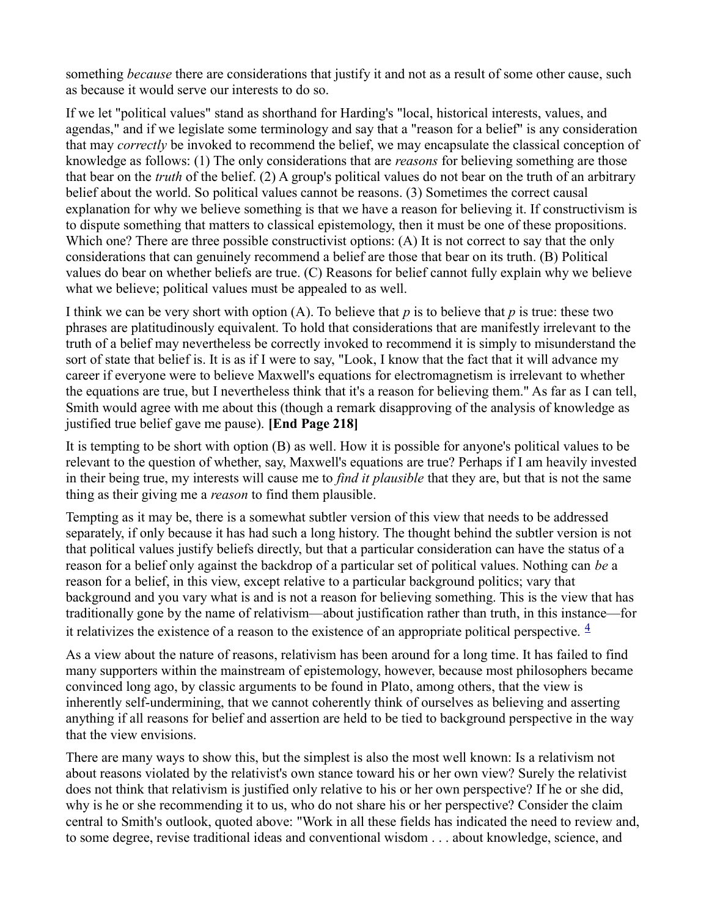something *because* there are considerations that justify it and not as a result of some other cause, such as because it would serve our interests to do so.

If we let "political values" stand as shorthand for Harding's "local, historical interests, values, and agendas," and if we legislate some terminology and say that a "reason for a belief" is any consideration that may *correctly* be invoked to recommend the belief, we may encapsulate the classical conception of knowledge as follows: (1) The only considerations that are reasons for believing something are those that bear on the *truth* of the belief. (2) A group's political values do not bear on the truth of an arbitrary belief about the world. So political values cannot be reasons. (3) Sometimes the correct causal explanation for why we believe something is that we have a reason for believing it. If constructivism is to dispute something that matters to classical epistemology, then it must be one of these propositions. Which one? There are three possible constructivist options: (A) It is not correct to say that the only considerations that can genuinely recommend a belief are those that bear on its truth. (B) Political values do bear on whether beliefs are true. (C) Reasons for belief cannot fully explain why we believe what we believe; political values must be appealed to as well.

I think we can be very short with option (A). To believe that  $p$  is to believe that  $p$  is true: these two phrases are platitudinously equivalent. To hold that considerations that are manifestly irrelevant to the truth of a belief may nevertheless be correctly invoked to recommend it is simply to misunderstand the sort of state that belief is. It is as if I were to say, "Look, I know that the fact that it will advance my career if everyone were to believe Maxwell's equations for electromagnetism is irrelevant to whether the equations are true, but I nevertheless think that it's a reason for believing them." As far as I can tell, Smith would agree with me about this (though a remark disapproving of the analysis of knowledge as justified true belief gave me pause). [End Page 218]

It is tempting to be short with option (B) as well. How it is possible for anyone's political values to be relevant to the question of whether, say, Maxwell's equations are true? Perhaps if I am heavily invested in their being true, my interests will cause me to find it plausible that they are, but that is not the same thing as their giving me a *reason* to find them plausible.

Tempting as it may be, there is a somewhat subtler version of this view that needs to be addressed separately, if only because it has had such a long history. The thought behind the subtler version is not that political values justify beliefs directly, but that a particular consideration can have the status of a reason for a belief only against the backdrop of a particular set of political values. Nothing can be a reason for a belief, in this view, except relative to a particular background politics; vary that background and you vary what is and is not a reason for believing something. This is the view that has traditionally gone by the name of relativism—about justification rather than truth, in this instance—for it relativizes the existence of a reason to the existence of an appropriate political perspective.  $\frac{4}{3}$ 

As a view about the nature of reasons, relativism has been around for a long time. It has failed to find many supporters within the mainstream of epistemology, however, because most philosophers became convinced long ago, by classic arguments to be found in Plato, among others, that the view is inherently self-undermining, that we cannot coherently think of ourselves as believing and asserting anything if all reasons for belief and assertion are held to be tied to background perspective in the way that the view envisions.

There are many ways to show this, but the simplest is also the most well known: Is a relativism not about reasons violated by the relativist's own stance toward his or her own view? Surely the relativist does not think that relativism is justified only relative to his or her own perspective? If he or she did, why is he or she recommending it to us, who do not share his or her perspective? Consider the claim central to Smith's outlook, quoted above: "Work in all these fields has indicated the need to review and, to some degree, revise traditional ideas and conventional wisdom . . . about knowledge, science, and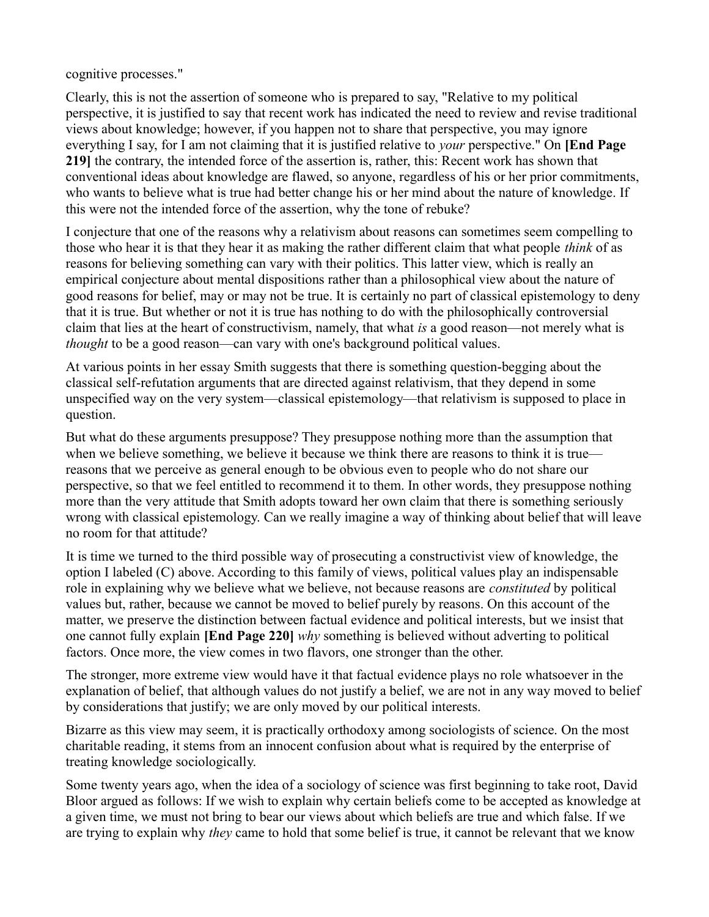cognitive processes."

Clearly, this is not the assertion of someone who is prepared to say, "Relative to my political perspective, it is justified to say that recent work has indicated the need to review and revise traditional views about knowledge; however, if you happen not to share that perspective, you may ignore everything I say, for I am not claiming that it is justified relative to *your* perspective." On [End Page 219] the contrary, the intended force of the assertion is, rather, this: Recent work has shown that conventional ideas about knowledge are flawed, so anyone, regardless of his or her prior commitments, who wants to believe what is true had better change his or her mind about the nature of knowledge. If this were not the intended force of the assertion, why the tone of rebuke?

I conjecture that one of the reasons why a relativism about reasons can sometimes seem compelling to those who hear it is that they hear it as making the rather different claim that what people *think* of as reasons for believing something can vary with their politics. This latter view, which is really an empirical conjecture about mental dispositions rather than a philosophical view about the nature of good reasons for belief, may or may not be true. It is certainly no part of classical epistemology to deny that it is true. But whether or not it is true has nothing to do with the philosophically controversial claim that lies at the heart of constructivism, namely, that what is a good reason—not merely what is thought to be a good reason—can vary with one's background political values.

At various points in her essay Smith suggests that there is something question-begging about the classical self-refutation arguments that are directed against relativism, that they depend in some unspecified way on the very system—classical epistemology—that relativism is supposed to place in question.

But what do these arguments presuppose? They presuppose nothing more than the assumption that when we believe something, we believe it because we think there are reasons to think it is true reasons that we perceive as general enough to be obvious even to people who do not share our perspective, so that we feel entitled to recommend it to them. In other words, they presuppose nothing more than the very attitude that Smith adopts toward her own claim that there is something seriously wrong with classical epistemology. Can we really imagine a way of thinking about belief that will leave no room for that attitude?

It is time we turned to the third possible way of prosecuting a constructivist view of knowledge, the option I labeled (C) above. According to this family of views, political values play an indispensable role in explaining why we believe what we believe, not because reasons are *constituted* by political values but, rather, because we cannot be moved to belief purely by reasons. On this account of the matter, we preserve the distinction between factual evidence and political interests, but we insist that one cannot fully explain [End Page 220] why something is believed without adverting to political factors. Once more, the view comes in two flavors, one stronger than the other.

The stronger, more extreme view would have it that factual evidence plays no role whatsoever in the explanation of belief, that although values do not justify a belief, we are not in any way moved to belief by considerations that justify; we are only moved by our political interests.

Bizarre as this view may seem, it is practically orthodoxy among sociologists of science. On the most charitable reading, it stems from an innocent confusion about what is required by the enterprise of treating knowledge sociologically.

Some twenty years ago, when the idea of a sociology of science was first beginning to take root, David Bloor argued as follows: If we wish to explain why certain beliefs come to be accepted as knowledge at a given time, we must not bring to bear our views about which beliefs are true and which false. If we are trying to explain why *they* came to hold that some belief is true, it cannot be relevant that we know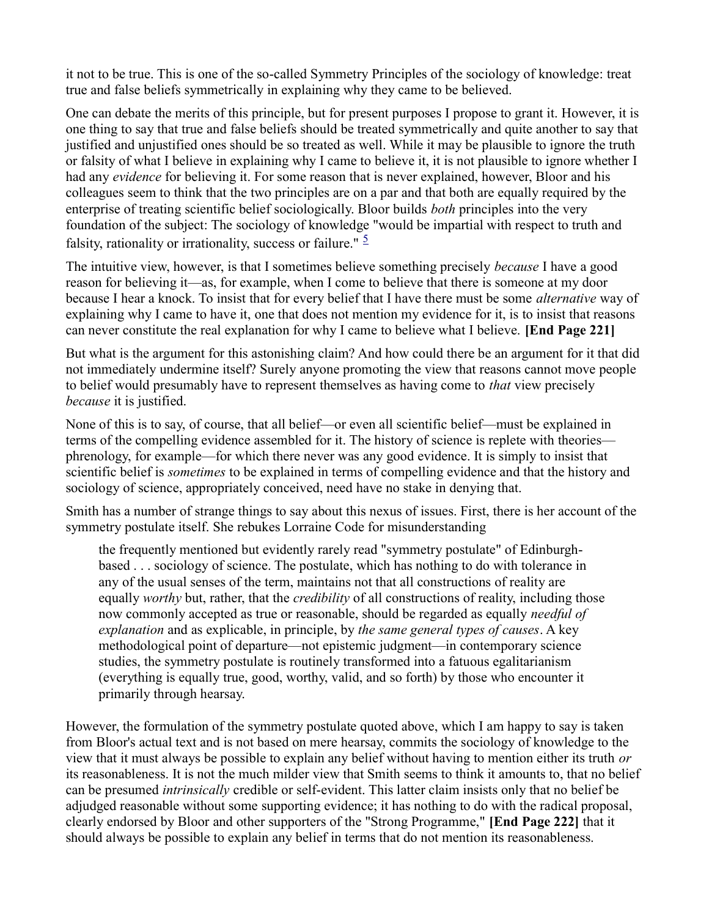it not to be true. This is one of the so-called Symmetry Principles of the sociology of knowledge: treat true and false beliefs symmetrically in explaining why they came to be believed.

One can debate the merits of this principle, but for present purposes I propose to grant it. However, it is one thing to say that true and false beliefs should be treated symmetrically and quite another to say that justified and unjustified ones should be so treated as well. While it may be plausible to ignore the truth or falsity of what I believe in explaining why I came to believe it, it is not plausible to ignore whether I had any *evidence* for believing it. For some reason that is never explained, however, Bloor and his colleagues seem to think that the two principles are on a par and that both are equally required by the enterprise of treating scientific belief sociologically. Bloor builds both principles into the very foundation of the subject: The sociology of knowledge "would be impartial with respect to truth and falsity, rationality or irrationality, success or failure."  $\frac{5}{2}$ 

The intuitive view, however, is that I sometimes believe something precisely *because* I have a good reason for believing it—as, for example, when I come to believe that there is someone at my door because I hear a knock. To insist that for every belief that I have there must be some alternative way of explaining why I came to have it, one that does not mention my evidence for it, is to insist that reasons can never constitute the real explanation for why I came to believe what I believe. [End Page 221]

But what is the argument for this astonishing claim? And how could there be an argument for it that did not immediately undermine itself? Surely anyone promoting the view that reasons cannot move people to belief would presumably have to represent themselves as having come to *that* view precisely because it is justified.

None of this is to say, of course, that all belief—or even all scientific belief—must be explained in terms of the compelling evidence assembled for it. The history of science is replete with theories phrenology, for example—for which there never was any good evidence. It is simply to insist that scientific belief is *sometimes* to be explained in terms of compelling evidence and that the history and sociology of science, appropriately conceived, need have no stake in denying that.

Smith has a number of strange things to say about this nexus of issues. First, there is her account of the symmetry postulate itself. She rebukes Lorraine Code for misunderstanding

the frequently mentioned but evidently rarely read "symmetry postulate" of Edinburghbased . . . sociology of science. The postulate, which has nothing to do with tolerance in any of the usual senses of the term, maintains not that all constructions of reality are equally *worthy* but, rather, that the *credibility* of all constructions of reality, including those now commonly accepted as true or reasonable, should be regarded as equally needful of explanation and as explicable, in principle, by the same general types of causes. A key methodological point of departure—not epistemic judgment—in contemporary science studies, the symmetry postulate is routinely transformed into a fatuous egalitarianism (everything is equally true, good, worthy, valid, and so forth) by those who encounter it primarily through hearsay.

However, the formulation of the symmetry postulate quoted above, which I am happy to say is taken from Bloor's actual text and is not based on mere hearsay, commits the sociology of knowledge to the view that it must always be possible to explain any belief without having to mention either its truth or its reasonableness. It is not the much milder view that Smith seems to think it amounts to, that no belief can be presumed intrinsically credible or self-evident. This latter claim insists only that no belief be adjudged reasonable without some supporting evidence; it has nothing to do with the radical proposal, clearly endorsed by Bloor and other supporters of the "Strong Programme," [End Page 222] that it should always be possible to explain any belief in terms that do not mention its reasonableness.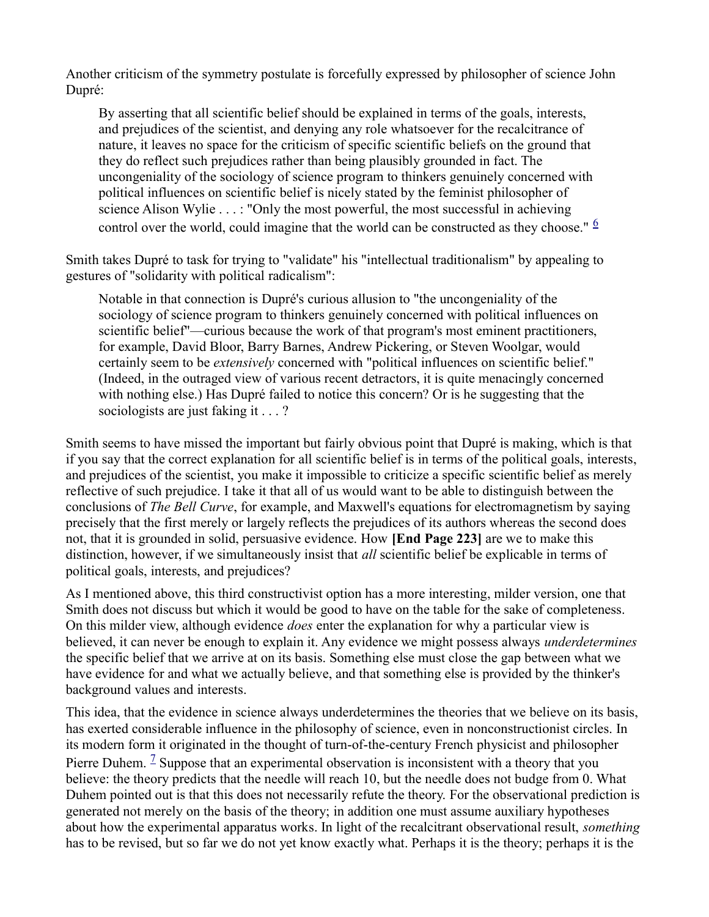Another criticism of the symmetry postulate is forcefully expressed by philosopher of science John Dupré:

By asserting that all scientific belief should be explained in terms of the goals, interests, and prejudices of the scientist, and denying any role whatsoever for the recalcitrance of nature, it leaves no space for the criticism of specific scientific beliefs on the ground that they do reflect such prejudices rather than being plausibly grounded in fact. The uncongeniality of the sociology of science program to thinkers genuinely concerned with political influences on scientific belief is nicely stated by the feminist philosopher of science Alison Wylie . . . : "Only the most powerful, the most successful in achieving control over the world, could imagine that the world can be constructed as they choose."  $\frac{6}{5}$ 

Smith takes Dupré to task for trying to "validate" his "intellectual traditionalism" by appealing to gestures of "solidarity with political radicalism":

Notable in that connection is Dupré's curious allusion to "the uncongeniality of the sociology of science program to thinkers genuinely concerned with political influences on scientific belief"—curious because the work of that program's most eminent practitioners, for example, David Bloor, Barry Barnes, Andrew Pickering, or Steven Woolgar, would certainly seem to be extensively concerned with "political influences on scientific belief." (Indeed, in the outraged view of various recent detractors, it is quite menacingly concerned with nothing else.) Has Dupré failed to notice this concern? Or is he suggesting that the sociologists are just faking it . . . ?

Smith seems to have missed the important but fairly obvious point that Dupré is making, which is that if you say that the correct explanation for all scientific belief is in terms of the political goals, interests, and prejudices of the scientist, you make it impossible to criticize a specific scientific belief as merely reflective of such prejudice. I take it that all of us would want to be able to distinguish between the conclusions of The Bell Curve, for example, and Maxwell's equations for electromagnetism by saying precisely that the first merely or largely reflects the prejudices of its authors whereas the second does not, that it is grounded in solid, persuasive evidence. How [End Page 223] are we to make this distinction, however, if we simultaneously insist that *all* scientific belief be explicable in terms of political goals, interests, and prejudices?

As I mentioned above, this third constructivist option has a more interesting, milder version, one that Smith does not discuss but which it would be good to have on the table for the sake of completeness. On this milder view, although evidence *does* enter the explanation for why a particular view is believed, it can never be enough to explain it. Any evidence we might possess always *underdetermines* the specific belief that we arrive at on its basis. Something else must close the gap between what we have evidence for and what we actually believe, and that something else is provided by the thinker's background values and interests.

This idea, that the evidence in science always underdetermines the theories that we believe on its basis, has exerted considerable influence in the philosophy of science, even in nonconstructionist circles. In its modern form it originated in the thought of turn-of-the-century French physicist and philosopher Pierre Duhem.  $\frac{1}{2}$  Suppose that an experimental observation is inconsistent with a theory that you believe: the theory predicts that the needle will reach 10, but the needle does not budge from 0. What Duhem pointed out is that this does not necessarily refute the theory. For the observational prediction is generated not merely on the basis of the theory; in addition one must assume auxiliary hypotheses about how the experimental apparatus works. In light of the recalcitrant observational result, *something* has to be revised, but so far we do not yet know exactly what. Perhaps it is the theory; perhaps it is the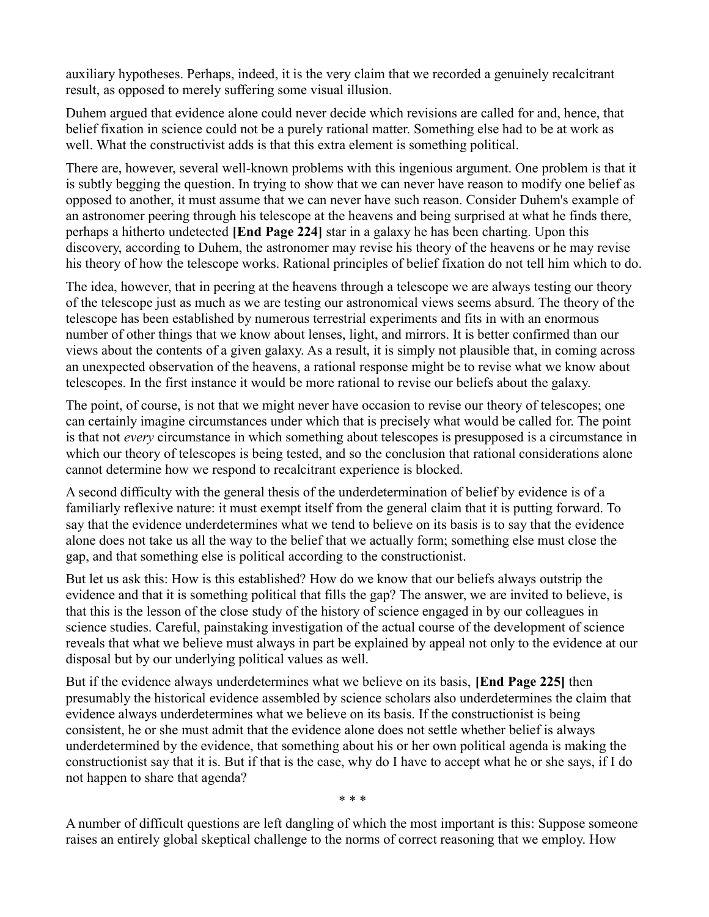auxiliary hypotheses. Perhaps, indeed, it is the very claim that we recorded a genuinely recalcitrant result, as opposed to merely suffering some visual illusion.

Duhem argued that evidence alone could never decide which revisions are called for and, hence, that belief fixation in science could not be a purely rational matter. Something else had to be at work as well. What the constructivist adds is that this extra element is something political.

There are, however, several well-known problems with this ingenious argument. One problem is that it is subtly begging the question. In trying to show that we can never have reason to modify one belief as opposed to another, it must assume that we can never have such reason. Consider Duhem's example of an astronomer peering through his telescope at the heavens and being surprised at what he finds there, perhaps a hitherto undetected [End Page 224] star in a galaxy he has been charting. Upon this discovery, according to Duhem, the astronomer may revise his theory of the heavens or he may revise his theory of how the telescope works. Rational principles of belief fixation do not tell him which to do.

The idea, however, that in peering at the heavens through a telescope we are always testing our theory of the telescope just as much as we are testing our astronomical views seems absurd. The theory of the telescope has been established by numerous terrestrial experiments and fits in with an enormous number of other things that we know about lenses, light, and mirrors. It is better confirmed than our views about the contents of a given galaxy. As a result, it is simply not plausible that, in coming across an unexpected observation of the heavens, a rational response might be to revise what we know about telescopes. In the first instance it would be more rational to revise our beliefs about the galaxy.

The point, of course, is not that we might never have occasion to revise our theory of telescopes; one can certainly imagine circumstances under which that is precisely what would be called for. The point is that not *every* circumstance in which something about telescopes is presupposed is a circumstance in which our theory of telescopes is being tested, and so the conclusion that rational considerations alone cannot determine how we respond to recalcitrant experience is blocked.

A second difficulty with the general thesis of the underdetermination of belief by evidence is of a familiarly reflexive nature: it must exempt itself from the general claim that it is putting forward. To say that the evidence underdetermines what we tend to believe on its basis is to say that the evidence alone does not take us all the way to the belief that we actually form; something else must close the gap, and that something else is political according to the constructionist.

But let us ask this: How is this established? How do we know that our beliefs always outstrip the evidence and that it is something political that fills the gap? The answer, we are invited to believe, is that this is the lesson of the close study of the history of science engaged in by our colleagues in science studies. Careful, painstaking investigation of the actual course of the development of science reveals that what we believe must always in part be explained by appeal not only to the evidence at our disposal but by our underlying political values as well.

But if the evidence always underdetermines what we believe on its basis, **[End Page 225]** then presumably the historical evidence assembled by science scholars also underdetermines the claim that evidence always underdetermines what we believe on its basis. If the constructionist is being consistent, he or she must admit that the evidence alone does not settle whether belief is always underdetermined by the evidence, that something about his or her own political agenda is making the constructionist say that it is. But if that is the case, why do I have to accept what he or she says, if I do not happen to share that agenda?

\* \* \*

A number of difficult questions are left dangling of which the most important is this: Suppose someone raises an entirely global skeptical challenge to the norms of correct reasoning that we employ. How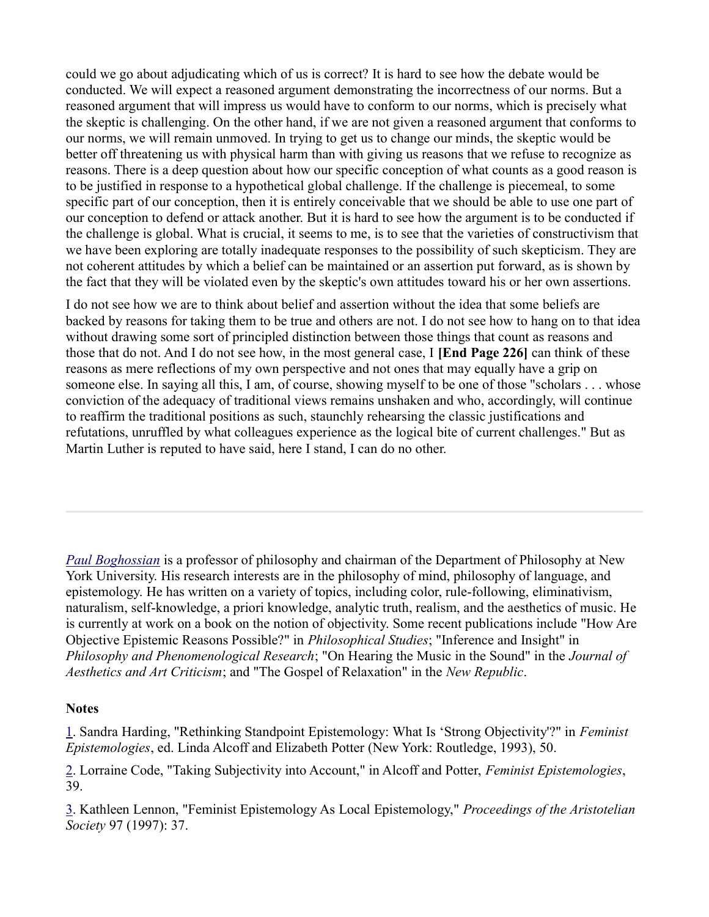could we go about adjudicating which of us is correct? It is hard to see how the debate would be conducted. We will expect a reasoned argument demonstrating the incorrectness of our norms. But a reasoned argument that will impress us would have to conform to our norms, which is precisely what the skeptic is challenging. On the other hand, if we are not given a reasoned argument that conforms to our norms, we will remain unmoved. In trying to get us to change our minds, the skeptic would be better off threatening us with physical harm than with giving us reasons that we refuse to recognize as reasons. There is a deep question about how our specific conception of what counts as a good reason is to be justified in response to a hypothetical global challenge. If the challenge is piecemeal, to some specific part of our conception, then it is entirely conceivable that we should be able to use one part of our conception to defend or attack another. But it is hard to see how the argument is to be conducted if the challenge is global. What is crucial, it seems to me, is to see that the varieties of constructivism that we have been exploring are totally inadequate responses to the possibility of such skepticism. They are not coherent attitudes by which a belief can be maintained or an assertion put forward, as is shown by the fact that they will be violated even by the skeptic's own attitudes toward his or her own assertions.

I do not see how we are to think about belief and assertion without the idea that some beliefs are backed by reasons for taking them to be true and others are not. I do not see how to hang on to that idea without drawing some sort of principled distinction between those things that count as reasons and those that do not. And I do not see how, in the most general case, I [End Page 226] can think of these reasons as mere reflections of my own perspective and not ones that may equally have a grip on someone else. In saying all this, I am, of course, showing myself to be one of those "scholars . . . whose conviction of the adequacy of traditional views remains unshaken and who, accordingly, will continue to reaffirm the traditional positions as such, staunchly rehearsing the classic justifications and refutations, unruffled by what colleagues experience as the logical bite of current challenges." But as Martin Luther is reputed to have said, here I stand, I can do no other.

Paul Boghossian is a professor of philosophy and chairman of the Department of Philosophy at New York University. His research interests are in the philosophy of mind, philosophy of language, and epistemology. He has written on a variety of topics, including color, rule-following, eliminativism, naturalism, self-knowledge, a priori knowledge, analytic truth, realism, and the aesthetics of music. He is currently at work on a book on the notion of objectivity. Some recent publications include "How Are Objective Epistemic Reasons Possible?" in Philosophical Studies; "Inference and Insight" in Philosophy and Phenomenological Research; "On Hearing the Music in the Sound" in the Journal of Aesthetics and Art Criticism; and "The Gospel of Relaxation" in the New Republic.

## **Notes**

1. Sandra Harding, "Rethinking Standpoint Epistemology: What Is 'Strong Objectivity'?" in Feminist Epistemologies, ed. Linda Alcoff and Elizabeth Potter (New York: Routledge, 1993), 50.

2. Lorraine Code, "Taking Subjectivity into Account," in Alcoff and Potter, Feminist Epistemologies, 39.

3. Kathleen Lennon, "Feminist Epistemology As Local Epistemology," Proceedings of the Aristotelian Society 97 (1997): 37.